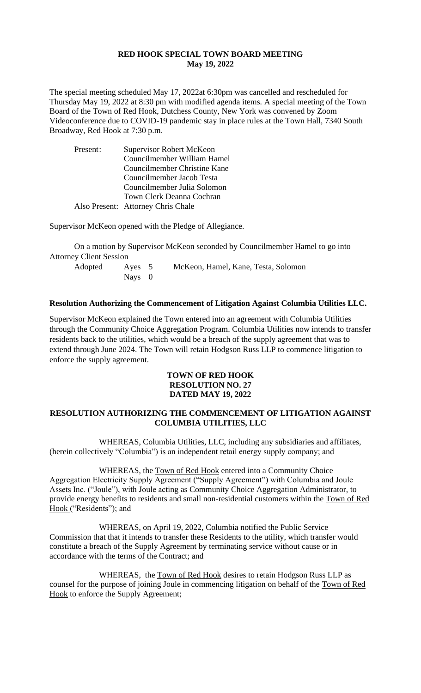### **RED HOOK SPECIAL TOWN BOARD MEETING May 19, 2022**

The special meeting scheduled May 17, 2022at 6:30pm was cancelled and rescheduled for Thursday May 19, 2022 at 8:30 pm with modified agenda items. A special meeting of the Town Board of the Town of Red Hook, Dutchess County, New York was convened by Zoom Videoconference due to COVID-19 pandemic stay in place rules at the Town Hall, 7340 South Broadway, Red Hook at 7:30 p.m.

| Present: | Supervisor Robert McKeon           |  |  |
|----------|------------------------------------|--|--|
|          | Councilmember William Hamel        |  |  |
|          | Councilmember Christine Kane       |  |  |
|          | Councilmember Jacob Testa          |  |  |
|          | Councilmember Julia Solomon        |  |  |
|          | Town Clerk Deanna Cochran          |  |  |
|          | Also Present: Attorney Chris Chale |  |  |

Supervisor McKeon opened with the Pledge of Allegiance.

On a motion by Supervisor McKeon seconded by Councilmember Hamel to go into Attorney Client Session

| Adopted | Aves 5 | McKeon, Hamel, Kane, Testa, Solomon |
|---------|--------|-------------------------------------|
|         | Nays 0 |                                     |

#### **Resolution Authorizing the Commencement of Litigation Against Columbia Utilities LLC.**

Supervisor McKeon explained the Town entered into an agreement with Columbia Utilities through the Community Choice Aggregation Program. Columbia Utilities now intends to transfer residents back to the utilities, which would be a breach of the supply agreement that was to extend through June 2024. The Town will retain Hodgson Russ LLP to commence litigation to enforce the supply agreement.

### **TOWN OF RED HOOK RESOLUTION NO. 27 DATED MAY 19, 2022**

## **RESOLUTION AUTHORIZING THE COMMENCEMENT OF LITIGATION AGAINST COLUMBIA UTILITIES, LLC**

WHEREAS, Columbia Utilities, LLC, including any subsidiaries and affiliates, (herein collectively "Columbia") is an independent retail energy supply company; and

WHEREAS, the Town of Red Hook entered into a Community Choice Aggregation Electricity Supply Agreement ("Supply Agreement") with Columbia and Joule Assets Inc. ("Joule"), with Joule acting as Community Choice Aggregation Administrator, to provide energy benefits to residents and small non-residential customers within the Town of Red Hook ("Residents"); and

WHEREAS, on April 19, 2022, Columbia notified the Public Service Commission that that it intends to transfer these Residents to the utility, which transfer would constitute a breach of the Supply Agreement by terminating service without cause or in accordance with the terms of the Contract; and

WHEREAS, the Town of Red Hook desires to retain Hodgson Russ LLP as counsel for the purpose of joining Joule in commencing litigation on behalf of the Town of Red Hook to enforce the Supply Agreement;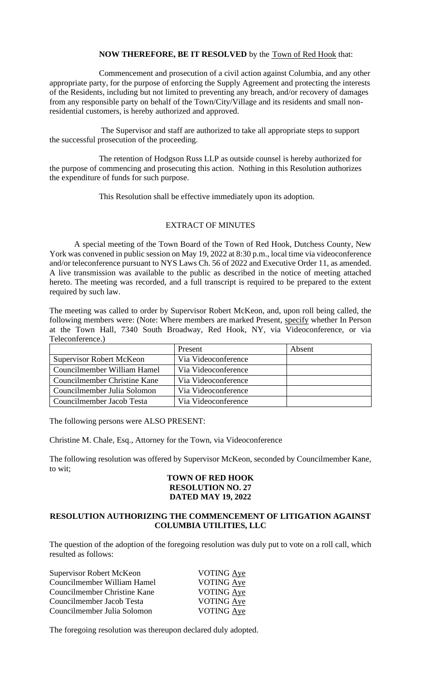### **NOW THEREFORE, BE IT RESOLVED** by the Town of Red Hook that:

Commencement and prosecution of a civil action against Columbia, and any other appropriate party, for the purpose of enforcing the Supply Agreement and protecting the interests of the Residents, including but not limited to preventing any breach, and/or recovery of damages from any responsible party on behalf of the Town/City/Village and its residents and small nonresidential customers, is hereby authorized and approved.

The Supervisor and staff are authorized to take all appropriate steps to support the successful prosecution of the proceeding.

The retention of Hodgson Russ LLP as outside counsel is hereby authorized for the purpose of commencing and prosecuting this action. Nothing in this Resolution authorizes the expenditure of funds for such purpose.

This Resolution shall be effective immediately upon its adoption.

# EXTRACT OF MINUTES

A special meeting of the Town Board of the Town of Red Hook, Dutchess County, New York was convened in public session on May 19, 2022 at 8:30 p.m., local time via videoconference and/or teleconference pursuant to NYS Laws Ch. 56 of 2022 and Executive Order 11, as amended. A live transmission was available to the public as described in the notice of meeting attached hereto. The meeting was recorded, and a full transcript is required to be prepared to the extent required by such law.

The meeting was called to order by Supervisor Robert McKeon, and, upon roll being called, the following members were: (Note: Where members are marked Present, specify whether In Person at the Town Hall, 7340 South Broadway, Red Hook, NY, via Videoconference, or via Teleconference.)

|                                 | Present             | Absent |
|---------------------------------|---------------------|--------|
| <b>Supervisor Robert McKeon</b> | Via Videoconference |        |
| Councilmember William Hamel     | Via Videoconference |        |
| Councilmember Christine Kane    | Via Videoconference |        |
| Councilmember Julia Solomon     | Via Videoconference |        |
| Councilmember Jacob Testa       | Via Videoconference |        |

The following persons were ALSO PRESENT:

Christine M. Chale, Esq., Attorney for the Town, via Videoconference

The following resolution was offered by Supervisor McKeon, seconded by Councilmember Kane, to wit;

### **TOWN OF RED HOOK RESOLUTION NO. 27 DATED MAY 19, 2022**

# **RESOLUTION AUTHORIZING THE COMMENCEMENT OF LITIGATION AGAINST COLUMBIA UTILITIES, LLC**

The question of the adoption of the foregoing resolution was duly put to vote on a roll call, which resulted as follows:

| Supervisor Robert McKeon     | <b>VOTING Aye</b> |
|------------------------------|-------------------|
| Councilmember William Hamel  | VOTING Aye        |
| Councilmember Christine Kane | <b>VOTING Aye</b> |
| Councilmember Jacob Testa    | VOTING Aye        |
| Councilmember Julia Solomon  | <b>VOTING Aye</b> |

The foregoing resolution was thereupon declared duly adopted.